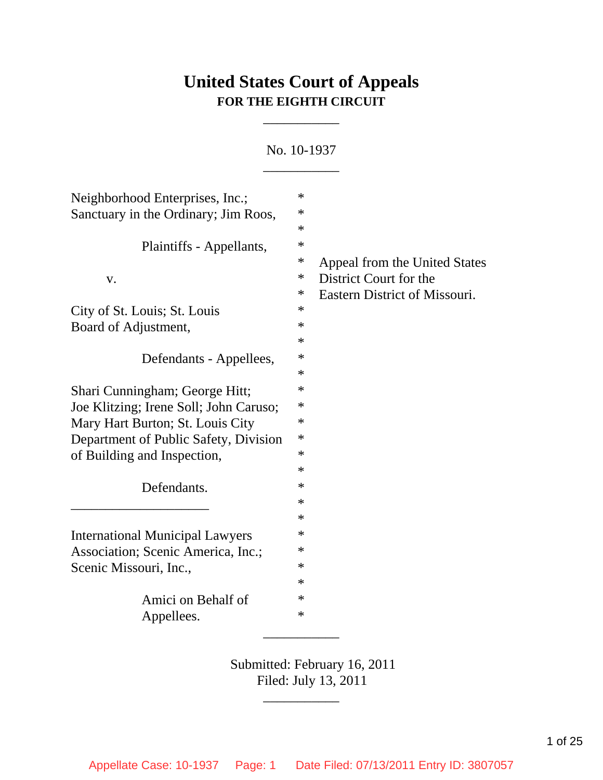# **United States Court of Appeals FOR THE EIGHTH CIRCUIT**

\_\_\_\_\_\_\_\_\_\_\_

No. 10-1937 \_\_\_\_\_\_\_\_\_\_\_

| Neighborhood Enterprises, Inc.;        | $\ast$ |                               |
|----------------------------------------|--------|-------------------------------|
| Sanctuary in the Ordinary; Jim Roos,   | $\ast$ |                               |
|                                        | ∗      |                               |
| Plaintiffs - Appellants,               | $\ast$ |                               |
|                                        | $\ast$ | Appeal from the United States |
| V.                                     | $\ast$ | District Court for the        |
|                                        | $\ast$ | Eastern District of Missouri. |
| City of St. Louis; St. Louis           | $\ast$ |                               |
| Board of Adjustment,                   | $\ast$ |                               |
|                                        | $\ast$ |                               |
| Defendants - Appellees,                | ∗      |                               |
|                                        | $\ast$ |                               |
| Shari Cunningham; George Hitt;         | $\ast$ |                               |
| Joe Klitzing; Irene Soll; John Caruso; | ∗      |                               |
| Mary Hart Burton; St. Louis City       | $\ast$ |                               |
| Department of Public Safety, Division  | $\ast$ |                               |
| of Building and Inspection,            | $\ast$ |                               |
|                                        | $\ast$ |                               |
| Defendants.                            | ∗      |                               |
|                                        | $\ast$ |                               |
|                                        | $\ast$ |                               |
|                                        | $\ast$ |                               |
| <b>International Municipal Lawyers</b> | $\ast$ |                               |
| Association; Scenic America, Inc.;     |        |                               |
| Scenic Missouri, Inc.,                 | $\ast$ |                               |
|                                        | $\ast$ |                               |
| Amici on Behalf of                     | ∗      |                               |
| Appellees.                             | $\ast$ |                               |
|                                        |        |                               |

Submitted: February 16, 2011 Filed: July 13, 2011

\_\_\_\_\_\_\_\_\_\_\_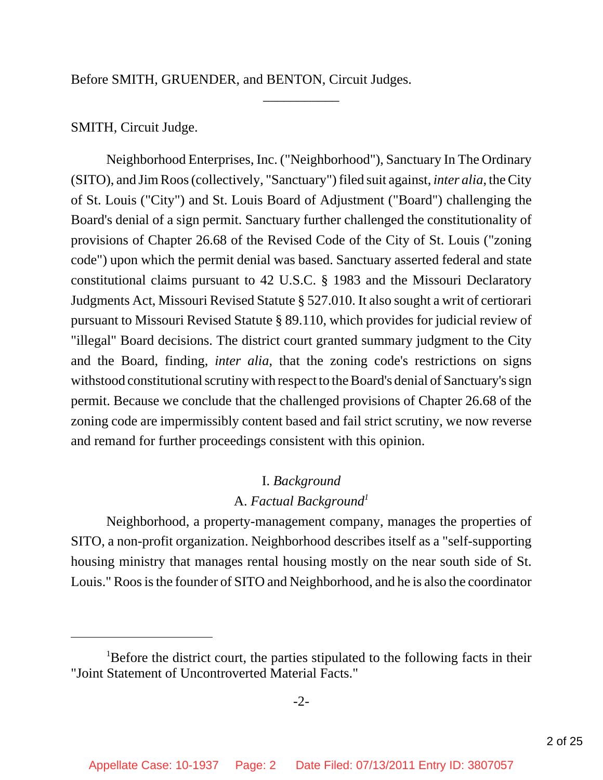Before SMITH, GRUENDER, and BENTON, Circuit Judges.

# SMITH, Circuit Judge.

Neighborhood Enterprises, Inc. ("Neighborhood"), Sanctuary In The Ordinary (SITO), and Jim Roos (collectively, "Sanctuary") filed suit against, *inter alia*, the City of St. Louis ("City") and St. Louis Board of Adjustment ("Board") challenging the Board's denial of a sign permit. Sanctuary further challenged the constitutionality of provisions of Chapter 26.68 of the Revised Code of the City of St. Louis ("zoning code") upon which the permit denial was based. Sanctuary asserted federal and state constitutional claims pursuant to 42 U.S.C. § 1983 and the Missouri Declaratory Judgments Act, Missouri Revised Statute § 527.010. It also sought a writ of certiorari pursuant to Missouri Revised Statute § 89.110, which provides for judicial review of "illegal" Board decisions. The district court granted summary judgment to the City and the Board, finding, *inter alia*, that the zoning code's restrictions on signs withstood constitutional scrutiny with respect to the Board's denial of Sanctuary's sign permit. Because we conclude that the challenged provisions of Chapter 26.68 of the zoning code are impermissibly content based and fail strict scrutiny, we now reverse and remand for further proceedings consistent with this opinion.

\_\_\_\_\_\_\_\_\_\_\_

# I. *Background*

# A. *Factual Background1*

Neighborhood, a property-management company, manages the properties of SITO, a non-profit organization. Neighborhood describes itself as a "self-supporting housing ministry that manages rental housing mostly on the near south side of St. Louis." Roos is the founder of SITO and Neighborhood, and he is also the coordinator

<sup>&</sup>lt;sup>1</sup>Before the district court, the parties stipulated to the following facts in their "Joint Statement of Uncontroverted Material Facts."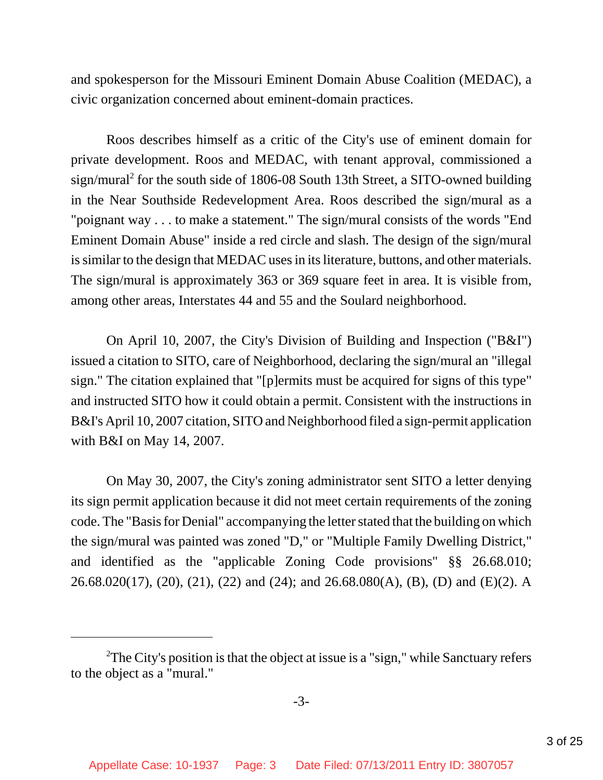and spokesperson for the Missouri Eminent Domain Abuse Coalition (MEDAC), a civic organization concerned about eminent-domain practices.

Roos describes himself as a critic of the City's use of eminent domain for private development. Roos and MEDAC, with tenant approval, commissioned a sign/mural<sup>2</sup> for the south side of 1806-08 South 13th Street, a SITO-owned building in the Near Southside Redevelopment Area. Roos described the sign/mural as a "poignant way . . . to make a statement." The sign/mural consists of the words "End Eminent Domain Abuse" inside a red circle and slash. The design of the sign/mural is similar to the design that MEDAC uses in its literature, buttons, and other materials. The sign/mural is approximately 363 or 369 square feet in area. It is visible from, among other areas, Interstates 44 and 55 and the Soulard neighborhood.

On April 10, 2007, the City's Division of Building and Inspection ("B&I") issued a citation to SITO, care of Neighborhood, declaring the sign/mural an "illegal sign." The citation explained that "[p]ermits must be acquired for signs of this type" and instructed SITO how it could obtain a permit. Consistent with the instructions in B&I's April 10, 2007 citation, SITO and Neighborhood filed a sign-permit application with B&I on May 14, 2007.

On May 30, 2007, the City's zoning administrator sent SITO a letter denying its sign permit application because it did not meet certain requirements of the zoning code. The "Basis for Denial" accompanying the letter stated that the building on which the sign/mural was painted was zoned "D," or "Multiple Family Dwelling District," and identified as the "applicable Zoning Code provisions" §§ 26.68.010; 26.68.020(17), (20), (21), (22) and (24); and 26.68.080(A), (B), (D) and (E)(2). A

<sup>&</sup>lt;sup>2</sup>The City's position is that the object at issue is a "sign," while Sanctuary refers to the object as a "mural."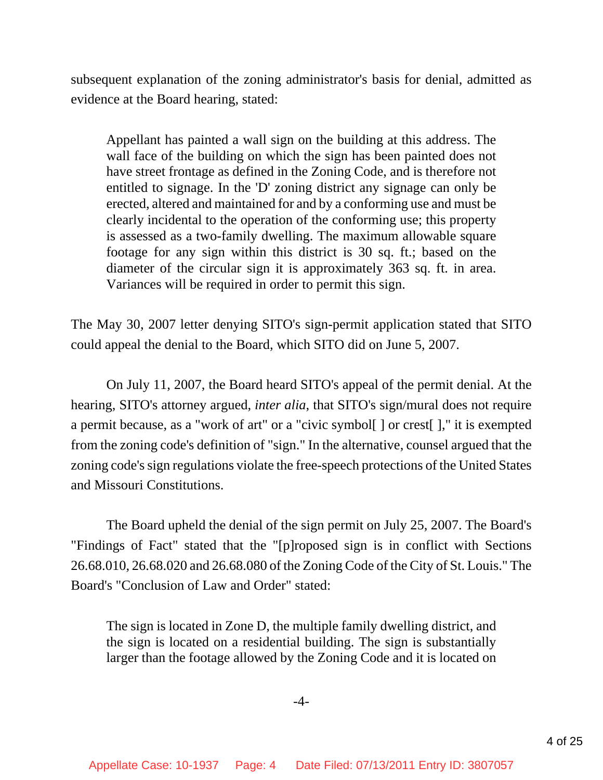subsequent explanation of the zoning administrator's basis for denial, admitted as evidence at the Board hearing, stated:

Appellant has painted a wall sign on the building at this address. The wall face of the building on which the sign has been painted does not have street frontage as defined in the Zoning Code, and is therefore not entitled to signage. In the 'D' zoning district any signage can only be erected, altered and maintained for and by a conforming use and must be clearly incidental to the operation of the conforming use; this property is assessed as a two-family dwelling. The maximum allowable square footage for any sign within this district is 30 sq. ft.; based on the diameter of the circular sign it is approximately 363 sq. ft. in area. Variances will be required in order to permit this sign.

The May 30, 2007 letter denying SITO's sign-permit application stated that SITO could appeal the denial to the Board, which SITO did on June 5, 2007.

On July 11, 2007, the Board heard SITO's appeal of the permit denial. At the hearing, SITO's attorney argued, *inter alia*, that SITO's sign/mural does not require a permit because, as a "work of art" or a "civic symbol[ ] or crest[ ]," it is exempted from the zoning code's definition of "sign." In the alternative, counsel argued that the zoning code's sign regulations violate the free-speech protections of the United States and Missouri Constitutions.

The Board upheld the denial of the sign permit on July 25, 2007. The Board's "Findings of Fact" stated that the "[p]roposed sign is in conflict with Sections 26.68.010, 26.68.020 and 26.68.080 of the Zoning Code of the City of St. Louis." The Board's "Conclusion of Law and Order" stated:

The sign is located in Zone D, the multiple family dwelling district, and the sign is located on a residential building. The sign is substantially larger than the footage allowed by the Zoning Code and it is located on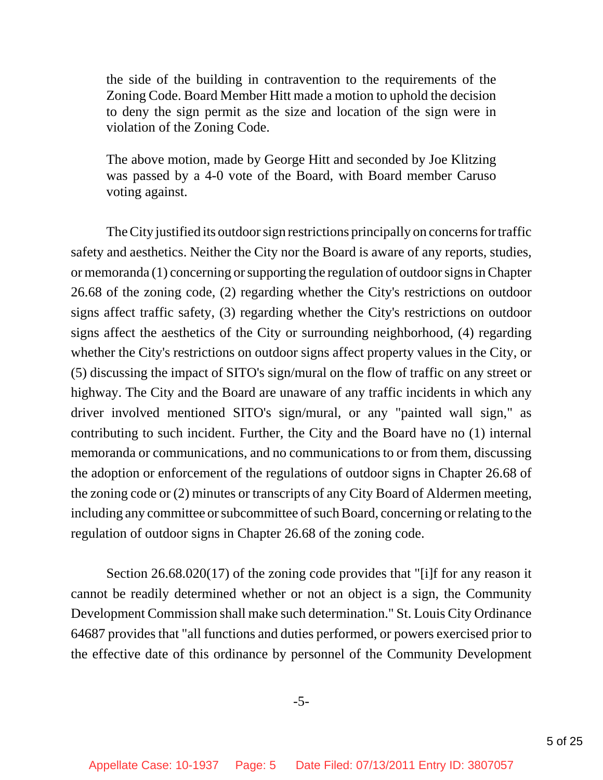the side of the building in contravention to the requirements of the Zoning Code. Board Member Hitt made a motion to uphold the decision to deny the sign permit as the size and location of the sign were in violation of the Zoning Code.

The above motion, made by George Hitt and seconded by Joe Klitzing was passed by a 4-0 vote of the Board, with Board member Caruso voting against.

The City justified its outdoor sign restrictions principally on concerns for traffic safety and aesthetics. Neither the City nor the Board is aware of any reports, studies, or memoranda (1) concerning or supporting the regulation of outdoor signs in Chapter 26.68 of the zoning code, (2) regarding whether the City's restrictions on outdoor signs affect traffic safety, (3) regarding whether the City's restrictions on outdoor signs affect the aesthetics of the City or surrounding neighborhood, (4) regarding whether the City's restrictions on outdoor signs affect property values in the City, or (5) discussing the impact of SITO's sign/mural on the flow of traffic on any street or highway. The City and the Board are unaware of any traffic incidents in which any driver involved mentioned SITO's sign/mural, or any "painted wall sign," as contributing to such incident. Further, the City and the Board have no (1) internal memoranda or communications, and no communications to or from them, discussing the adoption or enforcement of the regulations of outdoor signs in Chapter 26.68 of the zoning code or (2) minutes or transcripts of any City Board of Aldermen meeting, including any committee or subcommittee of such Board, concerning or relating to the regulation of outdoor signs in Chapter 26.68 of the zoning code.

Section 26.68.020(17) of the zoning code provides that "[i]f for any reason it cannot be readily determined whether or not an object is a sign, the Community Development Commission shall make such determination." St. Louis City Ordinance 64687 provides that "all functions and duties performed, or powers exercised prior to the effective date of this ordinance by personnel of the Community Development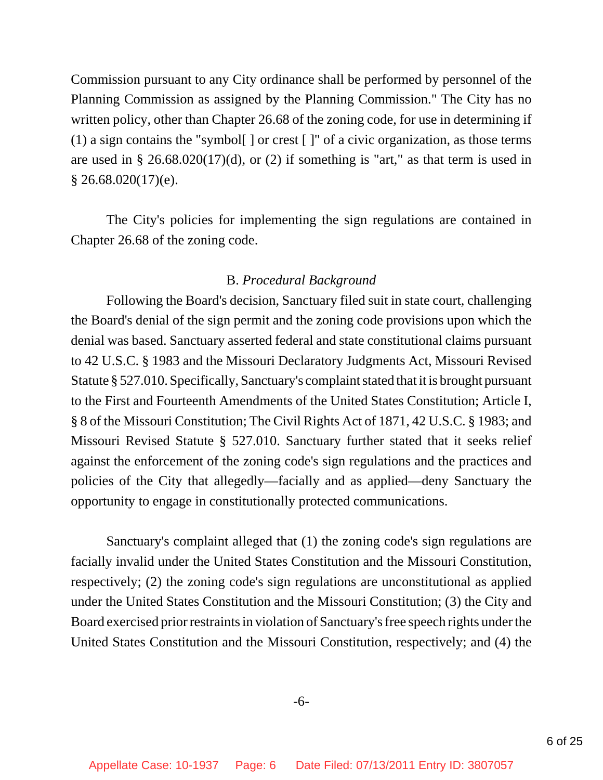Commission pursuant to any City ordinance shall be performed by personnel of the Planning Commission as assigned by the Planning Commission." The City has no written policy, other than Chapter 26.68 of the zoning code, for use in determining if (1) a sign contains the "symbol[ ] or crest [ ]" of a civic organization, as those terms are used in  $\S 26.68.020(17)(d)$ , or (2) if something is "art," as that term is used in  $§$  26.68.020(17)(e).

The City's policies for implementing the sign regulations are contained in Chapter 26.68 of the zoning code.

## B. *Procedural Background*

Following the Board's decision, Sanctuary filed suit in state court, challenging the Board's denial of the sign permit and the zoning code provisions upon which the denial was based. Sanctuary asserted federal and state constitutional claims pursuant to 42 U.S.C. § 1983 and the Missouri Declaratory Judgments Act, Missouri Revised Statute § 527.010. Specifically, Sanctuary's complaint stated that it is brought pursuant to the First and Fourteenth Amendments of the United States Constitution; Article I, § 8 of the Missouri Constitution; The Civil Rights Act of 1871, 42 U.S.C. § 1983; and Missouri Revised Statute § 527.010. Sanctuary further stated that it seeks relief against the enforcement of the zoning code's sign regulations and the practices and policies of the City that allegedly—facially and as applied—deny Sanctuary the opportunity to engage in constitutionally protected communications.

Sanctuary's complaint alleged that (1) the zoning code's sign regulations are facially invalid under the United States Constitution and the Missouri Constitution, respectively; (2) the zoning code's sign regulations are unconstitutional as applied under the United States Constitution and the Missouri Constitution; (3) the City and Board exercised prior restraints in violation of Sanctuary's free speech rights under the United States Constitution and the Missouri Constitution, respectively; and (4) the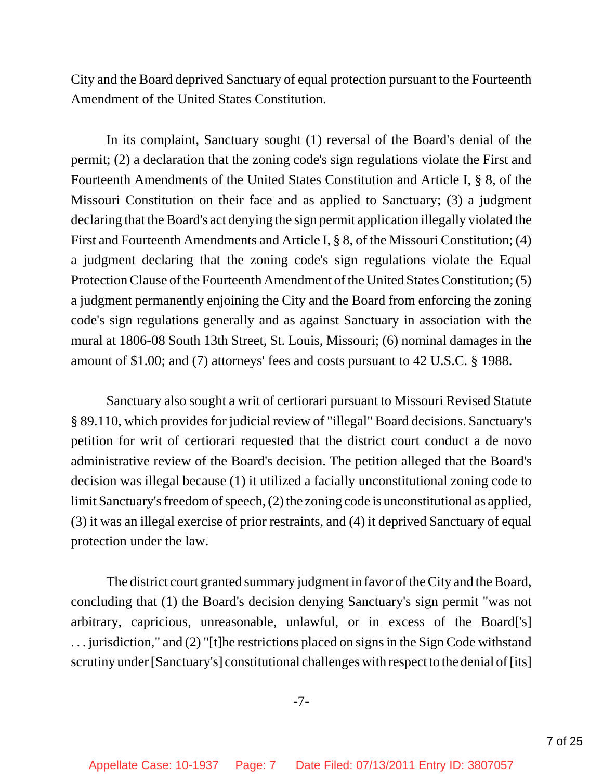City and the Board deprived Sanctuary of equal protection pursuant to the Fourteenth Amendment of the United States Constitution.

In its complaint, Sanctuary sought (1) reversal of the Board's denial of the permit; (2) a declaration that the zoning code's sign regulations violate the First and Fourteenth Amendments of the United States Constitution and Article I, § 8, of the Missouri Constitution on their face and as applied to Sanctuary; (3) a judgment declaring that the Board's act denying the sign permit application illegally violated the First and Fourteenth Amendments and Article I, § 8, of the Missouri Constitution; (4) a judgment declaring that the zoning code's sign regulations violate the Equal Protection Clause of the Fourteenth Amendment of the United States Constitution; (5) a judgment permanently enjoining the City and the Board from enforcing the zoning code's sign regulations generally and as against Sanctuary in association with the mural at 1806-08 South 13th Street, St. Louis, Missouri; (6) nominal damages in the amount of \$1.00; and (7) attorneys' fees and costs pursuant to 42 U.S.C. § 1988.

Sanctuary also sought a writ of certiorari pursuant to Missouri Revised Statute § 89.110, which provides for judicial review of "illegal" Board decisions. Sanctuary's petition for writ of certiorari requested that the district court conduct a de novo administrative review of the Board's decision. The petition alleged that the Board's decision was illegal because (1) it utilized a facially unconstitutional zoning code to limit Sanctuary's freedom of speech, (2) the zoning code is unconstitutional as applied, (3) it was an illegal exercise of prior restraints, and (4) it deprived Sanctuary of equal protection under the law.

The district court granted summary judgment in favor of the City and the Board, concluding that (1) the Board's decision denying Sanctuary's sign permit "was not arbitrary, capricious, unreasonable, unlawful, or in excess of the Board['s] . . . jurisdiction," and (2) "[t]he restrictions placed on signs in the Sign Code withstand scrutiny under [Sanctuary's] constitutional challenges with respect to the denial of [its]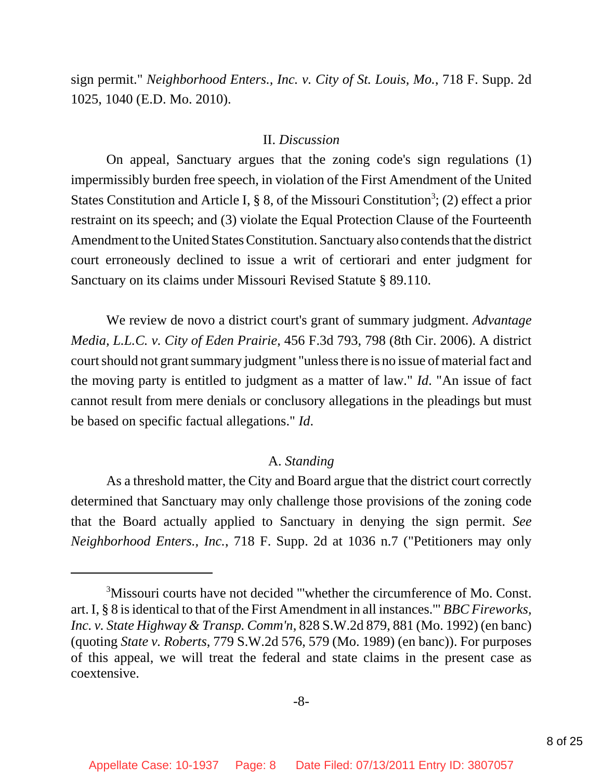sign permit." *Neighborhood Enters., Inc. v. City of St. Louis, Mo.*, 718 F. Supp. 2d 1025, 1040 (E.D. Mo. 2010).

#### II. *Discussion*

On appeal, Sanctuary argues that the zoning code's sign regulations (1) impermissibly burden free speech, in violation of the First Amendment of the United States Constitution and Article I, § 8, of the Missouri Constitution<sup>3</sup>; (2) effect a prior restraint on its speech; and (3) violate the Equal Protection Clause of the Fourteenth Amendment to the United States Constitution. Sanctuary also contends that the district court erroneously declined to issue a writ of certiorari and enter judgment for Sanctuary on its claims under Missouri Revised Statute § 89.110.

We review de novo a district court's grant of summary judgment. *Advantage Media, L.L.C. v. City of Eden Prairie*, 456 F.3d 793, 798 (8th Cir. 2006). A district court should not grant summary judgment "unless there is no issue of material fact and the moving party is entitled to judgment as a matter of law." *Id*. "An issue of fact cannot result from mere denials or conclusory allegations in the pleadings but must be based on specific factual allegations." *Id*.

#### A. *Standing*

As a threshold matter, the City and Board argue that the district court correctly determined that Sanctuary may only challenge those provisions of the zoning code that the Board actually applied to Sanctuary in denying the sign permit. *See Neighborhood Enters., Inc.*, 718 F. Supp. 2d at 1036 n.7 ("Petitioners may only

<sup>&</sup>lt;sup>3</sup>Missouri courts have not decided "'whether the circumference of Mo. Const. art. I, § 8 is identical to that of the First Amendment in all instances.'" *BBC Fireworks, Inc. v. State Highway & Transp. Comm'n*, 828 S.W.2d 879, 881 (Mo. 1992) (en banc) (quoting *State v. Roberts*, 779 S.W.2d 576, 579 (Mo. 1989) (en banc)). For purposes of this appeal, we will treat the federal and state claims in the present case as coextensive.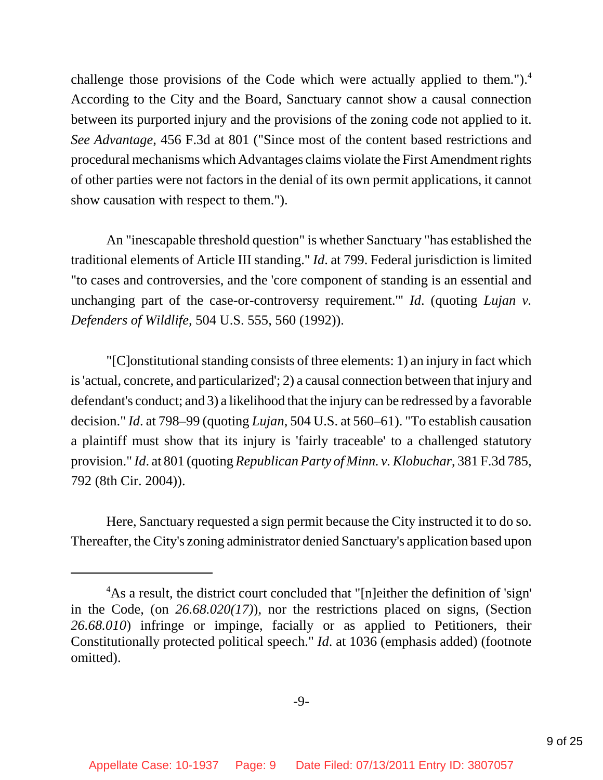challenge those provisions of the Code which were actually applied to them.").<sup>4</sup> According to the City and the Board, Sanctuary cannot show a causal connection between its purported injury and the provisions of the zoning code not applied to it. *See Advantage*, 456 F.3d at 801 ("Since most of the content based restrictions and procedural mechanisms which Advantages claims violate the First Amendment rights of other parties were not factors in the denial of its own permit applications, it cannot show causation with respect to them.").

An "inescapable threshold question" is whether Sanctuary "has established the traditional elements of Article III standing." *Id*. at 799. Federal jurisdiction is limited "to cases and controversies, and the 'core component of standing is an essential and unchanging part of the case-or-controversy requirement.'" *Id*. (quoting *Lujan v. Defenders of Wildlife*, 504 U.S. 555, 560 (1992)).

"[C]onstitutional standing consists of three elements: 1) an injury in fact which is 'actual, concrete, and particularized'; 2) a causal connection between that injury and defendant's conduct; and 3) a likelihood that the injury can be redressed by a favorable decision." *Id*. at 798–99 (quoting *Lujan*, 504 U.S. at 560–61). "To establish causation a plaintiff must show that its injury is 'fairly traceable' to a challenged statutory provision." *Id*. at 801 (quoting *Republican Party of Minn. v. Klobuchar*, 381 F.3d 785, 792 (8th Cir. 2004)).

Here, Sanctuary requested a sign permit because the City instructed it to do so. Thereafter, the City's zoning administrator denied Sanctuary's application based upon

<sup>&</sup>lt;sup>4</sup>As a result, the district court concluded that "[n]either the definition of 'sign' in the Code, (on *26.68.020(17)*), nor the restrictions placed on signs, (Section *26.68.010*) infringe or impinge, facially or as applied to Petitioners, their Constitutionally protected political speech." *Id*. at 1036 (emphasis added) (footnote omitted).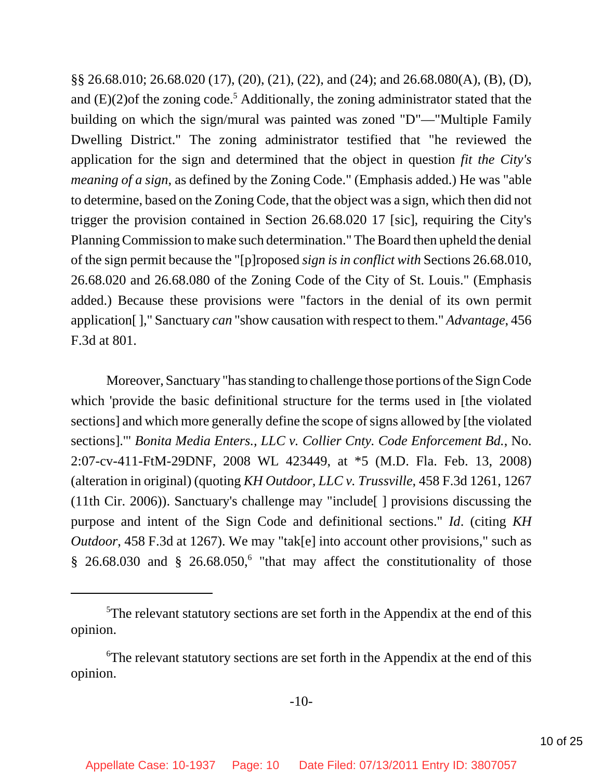§§ 26.68.010; 26.68.020 (17), (20), (21), (22), and (24); and 26.68.080(A), (B), (D), and  $(E)(2)$  of the zoning code.<sup>5</sup> Additionally, the zoning administrator stated that the building on which the sign/mural was painted was zoned "D"—"Multiple Family Dwelling District." The zoning administrator testified that "he reviewed the application for the sign and determined that the object in question *fit the City's meaning of a sign*, as defined by the Zoning Code." (Emphasis added.) He was "able to determine, based on the Zoning Code, that the object was a sign, which then did not trigger the provision contained in Section 26.68.020 17 [sic], requiring the City's Planning Commission to make such determination." The Board then upheld the denial of the sign permit because the "[p]roposed *sign is in conflict with* Sections 26.68.010, 26.68.020 and 26.68.080 of the Zoning Code of the City of St. Louis." (Emphasis added.) Because these provisions were "factors in the denial of its own permit application[ ]," Sanctuary *can* "show causation with respect to them." *Advantage*, 456 F.3d at 801.

Moreover, Sanctuary "has standing to challenge those portions of the Sign Code which 'provide the basic definitional structure for the terms used in [the violated sections] and which more generally define the scope of signs allowed by [the violated sections].'" *Bonita Media Enters., LLC v. Collier Cnty. Code Enforcement Bd.*, No. 2:07-cv-411-FtM-29DNF, 2008 WL 423449, at \*5 (M.D. Fla. Feb. 13, 2008) (alteration in original) (quoting *KH Outdoor, LLC v. Trussville*, 458 F.3d 1261, 1267 (11th Cir. 2006)). Sanctuary's challenge may "include[ ] provisions discussing the purpose and intent of the Sign Code and definitional sections." *Id*. (citing *KH Outdoor*, 458 F.3d at 1267). We may "tak[e] into account other provisions," such as  $§$  26.68.030 and § 26.68.050,<sup>6</sup> "that may affect the constitutionality of those

<sup>&</sup>lt;sup>5</sup>The relevant statutory sections are set forth in the Appendix at the end of this opinion.

<sup>&</sup>lt;sup>6</sup>The relevant statutory sections are set forth in the Appendix at the end of this opinion.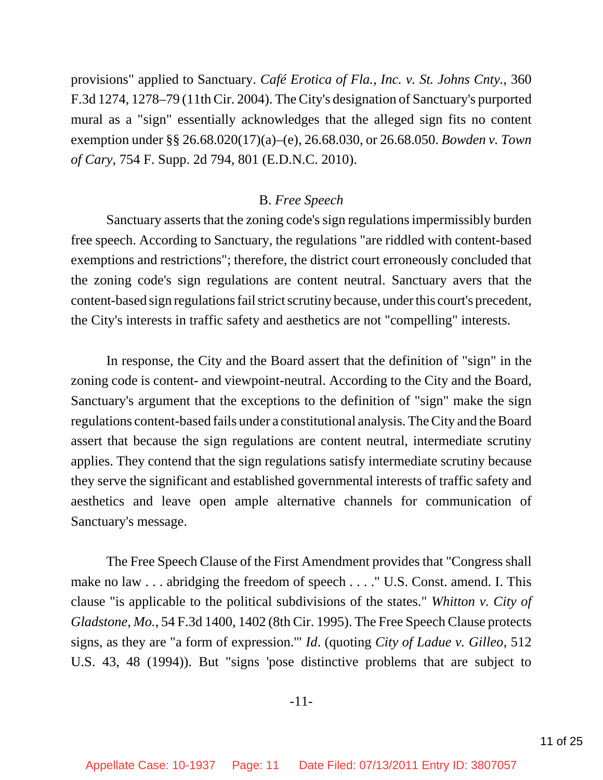provisions" applied to Sanctuary. *Café Erotica of Fla., Inc. v. St. Johns Cnty.*, 360 F.3d 1274, 1278–79 (11th Cir. 2004). The City's designation of Sanctuary's purported mural as a "sign" essentially acknowledges that the alleged sign fits no content exemption under §§ 26.68.020(17)(a)–(e), 26.68.030, or 26.68.050. *Bowden v. Town of Cary*, 754 F. Supp. 2d 794, 801 (E.D.N.C. 2010).

#### B. *Free Speech*

Sanctuary asserts that the zoning code's sign regulations impermissibly burden free speech. According to Sanctuary, the regulations "are riddled with content-based exemptions and restrictions"; therefore, the district court erroneously concluded that the zoning code's sign regulations are content neutral. Sanctuary avers that the content-based sign regulations fail strict scrutiny because, under this court's precedent, the City's interests in traffic safety and aesthetics are not "compelling" interests.

In response, the City and the Board assert that the definition of "sign" in the zoning code is content- and viewpoint-neutral. According to the City and the Board, Sanctuary's argument that the exceptions to the definition of "sign" make the sign regulations content-based fails under a constitutional analysis. The City and the Board assert that because the sign regulations are content neutral, intermediate scrutiny applies. They contend that the sign regulations satisfy intermediate scrutiny because they serve the significant and established governmental interests of traffic safety and aesthetics and leave open ample alternative channels for communication of Sanctuary's message.

The Free Speech Clause of the First Amendment provides that "Congress shall make no law . . . abridging the freedom of speech . . . ." U.S. Const. amend. I. This clause "is applicable to the political subdivisions of the states." *Whitton v. City of Gladstone, Mo.*, 54 F.3d 1400, 1402 (8th Cir. 1995). The Free Speech Clause protects signs, as they are "a form of expression.'" *Id*. (quoting *City of Ladue v. Gilleo*, 512 U.S. 43, 48 (1994)). But "signs 'pose distinctive problems that are subject to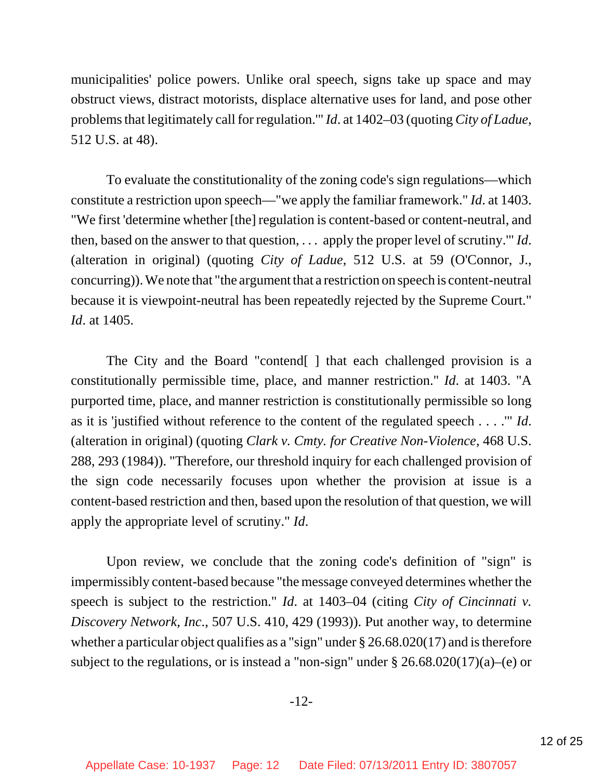municipalities' police powers. Unlike oral speech, signs take up space and may obstruct views, distract motorists, displace alternative uses for land, and pose other problems that legitimately call for regulation.'" *Id*. at 1402–03 (quoting *City of Ladue*, 512 U.S. at 48).

To evaluate the constitutionality of the zoning code's sign regulations—which constitute a restriction upon speech—"we apply the familiar framework." *Id*. at 1403. "We first 'determine whether [the] regulation is content-based or content-neutral, and then, based on the answer to that question, . . . apply the proper level of scrutiny.'" *Id*. (alteration in original) (quoting *City of Ladue*, 512 U.S. at 59 (O'Connor, J., concurring)). We note that "the argument that a restriction on speech is content-neutral because it is viewpoint-neutral has been repeatedly rejected by the Supreme Court." *Id*. at 1405.

The City and the Board "contend[ ] that each challenged provision is a constitutionally permissible time, place, and manner restriction." *Id*. at 1403. "A purported time, place, and manner restriction is constitutionally permissible so long as it is 'justified without reference to the content of the regulated speech . . . .'" *Id*. (alteration in original) (quoting *Clark v. Cmty. for Creative Non-Violence*, 468 U.S. 288, 293 (1984)). "Therefore, our threshold inquiry for each challenged provision of the sign code necessarily focuses upon whether the provision at issue is a content-based restriction and then, based upon the resolution of that question, we will apply the appropriate level of scrutiny." *Id*.

Upon review, we conclude that the zoning code's definition of "sign" is impermissibly content-based because "the message conveyed determines whether the speech is subject to the restriction." *Id*. at 1403–04 (citing *City of Cincinnati v. Discovery Network, Inc*., 507 U.S. 410, 429 (1993)). Put another way, to determine whether a particular object qualifies as a "sign" under § 26.68.020(17) and is therefore subject to the regulations, or is instead a "non-sign" under  $\S 26.68.020(17)(a)$ –(e) or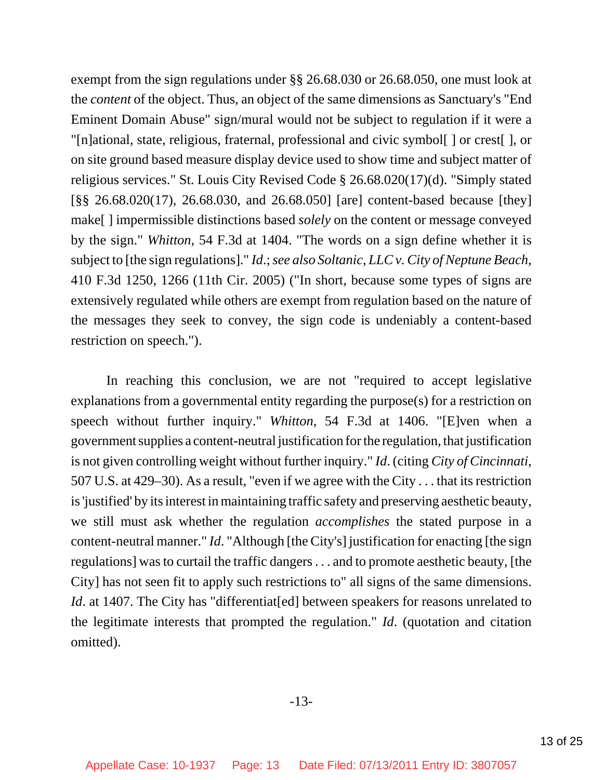exempt from the sign regulations under §§ 26.68.030 or 26.68.050, one must look at the *content* of the object. Thus, an object of the same dimensions as Sanctuary's "End Eminent Domain Abuse" sign/mural would not be subject to regulation if it were a "[n]ational, state, religious, fraternal, professional and civic symbol[ ] or crest[ ], or on site ground based measure display device used to show time and subject matter of religious services." St. Louis City Revised Code § 26.68.020(17)(d). "Simply stated [§§ 26.68.020(17), 26.68.030, and 26.68.050] [are] content-based because [they] make[ ] impermissible distinctions based *solely* on the content or message conveyed by the sign." *Whitton*, 54 F.3d at 1404. "The words on a sign define whether it is subject to [the sign regulations]." *Id*.; *see also Soltanic, LLC v. City of Neptune Beach*, 410 F.3d 1250, 1266 (11th Cir. 2005) ("In short, because some types of signs are extensively regulated while others are exempt from regulation based on the nature of the messages they seek to convey, the sign code is undeniably a content-based restriction on speech.").

In reaching this conclusion, we are not "required to accept legislative explanations from a governmental entity regarding the purpose(s) for a restriction on speech without further inquiry." *Whitton*, 54 F.3d at 1406. "[E]ven when a government supplies a content-neutral justification for the regulation, that justification is not given controlling weight without further inquiry." *Id*. (citing *City of Cincinnati*, 507 U.S. at 429–30). As a result, "even if we agree with the City . . . that its restriction is 'justified' by its interest in maintaining traffic safety and preserving aesthetic beauty, we still must ask whether the regulation *accomplishes* the stated purpose in a content-neutral manner." *Id*. "Although [the City's] justification for enacting [the sign regulations] was to curtail the traffic dangers . . . and to promote aesthetic beauty, [the City] has not seen fit to apply such restrictions to" all signs of the same dimensions. *Id.* at 1407. The City has "differentiat[ed] between speakers for reasons unrelated to the legitimate interests that prompted the regulation." *Id*. (quotation and citation omitted).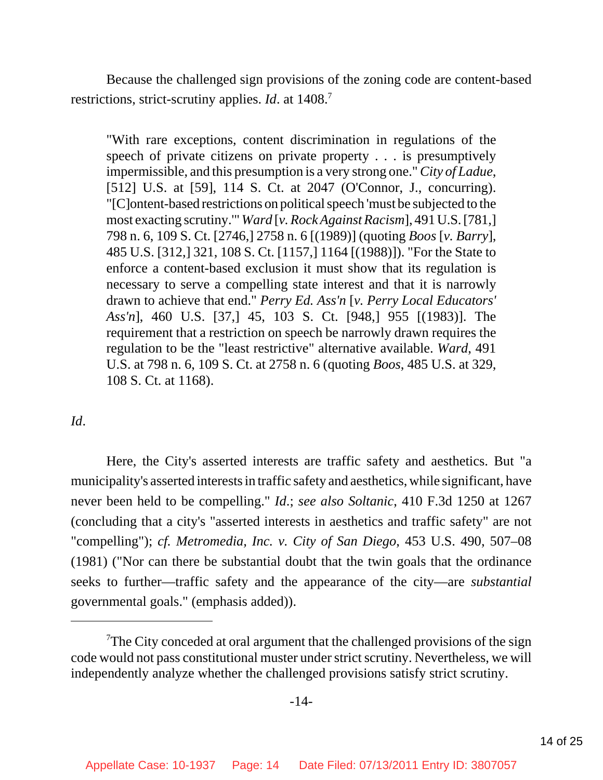Because the challenged sign provisions of the zoning code are content-based restrictions, strict-scrutiny applies. *Id.* at 1408.<sup>7</sup>

"With rare exceptions, content discrimination in regulations of the speech of private citizens on private property . . . is presumptively impermissible, and this presumption is a very strong one." *City of Ladue*, [512] U.S. at [59], 114 S. Ct. at 2047 (O'Connor, J., concurring). "[C]ontent-based restrictions on political speech 'must be subjected to the most exacting scrutiny.'" *Ward* [*v. Rock Against Racism*], 491 U.S. [781,] 798 n. 6, 109 S. Ct. [2746,] 2758 n. 6 [(1989)] (quoting *Boos* [*v. Barry*], 485 U.S. [312,] 321, 108 S. Ct. [1157,] 1164 [(1988)]). "For the State to enforce a content-based exclusion it must show that its regulation is necessary to serve a compelling state interest and that it is narrowly drawn to achieve that end." *Perry Ed. Ass'n* [*v. Perry Local Educators' Ass'n*], 460 U.S. [37,] 45, 103 S. Ct. [948,] 955 [(1983)]. The requirement that a restriction on speech be narrowly drawn requires the regulation to be the "least restrictive" alternative available. *Ward*, 491 U.S. at 798 n. 6, 109 S. Ct. at 2758 n. 6 (quoting *Boos*, 485 U.S. at 329, 108 S. Ct. at 1168).

## *Id*.

Here, the City's asserted interests are traffic safety and aesthetics. But "a municipality's asserted interests in traffic safety and aesthetics, while significant, have never been held to be compelling." *Id*.; *see also Soltanic*, 410 F.3d 1250 at 1267 (concluding that a city's "asserted interests in aesthetics and traffic safety" are not "compelling"); *cf. Metromedia, Inc. v. City of San Diego*, 453 U.S. 490, 507–08 (1981) ("Nor can there be substantial doubt that the twin goals that the ordinance seeks to further—traffic safety and the appearance of the city—are *substantial* governmental goals." (emphasis added)).

 $T$ The City conceded at oral argument that the challenged provisions of the sign code would not pass constitutional muster under strict scrutiny. Nevertheless, we will independently analyze whether the challenged provisions satisfy strict scrutiny.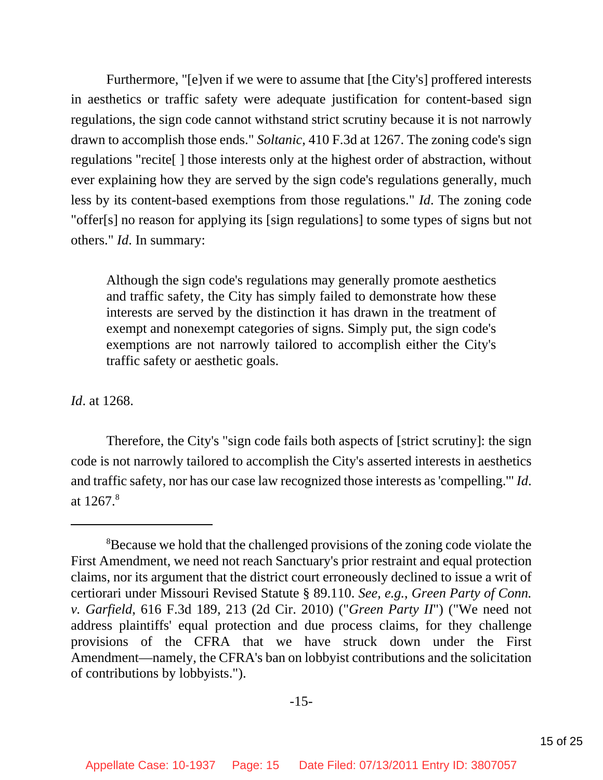Furthermore, "[e]ven if we were to assume that [the City's] proffered interests in aesthetics or traffic safety were adequate justification for content-based sign regulations, the sign code cannot withstand strict scrutiny because it is not narrowly drawn to accomplish those ends." *Soltanic*, 410 F.3d at 1267. The zoning code's sign regulations "recite[ ] those interests only at the highest order of abstraction, without ever explaining how they are served by the sign code's regulations generally, much less by its content-based exemptions from those regulations." *Id*. The zoning code "offer[s] no reason for applying its [sign regulations] to some types of signs but not others." *Id*. In summary:

Although the sign code's regulations may generally promote aesthetics and traffic safety, the City has simply failed to demonstrate how these interests are served by the distinction it has drawn in the treatment of exempt and nonexempt categories of signs. Simply put, the sign code's exemptions are not narrowly tailored to accomplish either the City's traffic safety or aesthetic goals.

*Id*. at 1268.

Therefore, the City's "sign code fails both aspects of [strict scrutiny]: the sign code is not narrowly tailored to accomplish the City's asserted interests in aesthetics and traffic safety, nor has our case law recognized those interests as 'compelling.'" *Id*. at 1267.8

<sup>&</sup>lt;sup>8</sup>Because we hold that the challenged provisions of the zoning code violate the First Amendment, we need not reach Sanctuary's prior restraint and equal protection claims, nor its argument that the district court erroneously declined to issue a writ of certiorari under Missouri Revised Statute § 89.110. *See, e.g.*, *Green Party of Conn. v. Garfield*, 616 F.3d 189, 213 (2d Cir. 2010) ("*Green Party II*") ("We need not address plaintiffs' equal protection and due process claims, for they challenge provisions of the CFRA that we have struck down under the First Amendment—namely, the CFRA's ban on lobbyist contributions and the solicitation of contributions by lobbyists.").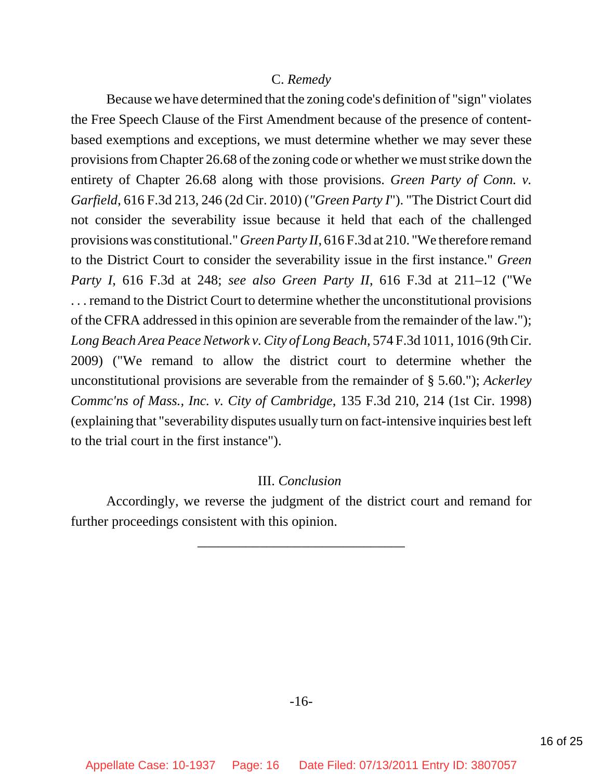### C. *Remedy*

Because we have determined that the zoning code's definition of "sign" violates the Free Speech Clause of the First Amendment because of the presence of contentbased exemptions and exceptions, we must determine whether we may sever these provisions from Chapter 26.68 of the zoning code or whether we must strike down the entirety of Chapter 26.68 along with those provisions. *Green Party of Conn. v. Garfield*, 616 F.3d 213, 246 (2d Cir. 2010) (*"Green Party I*"). "The District Court did not consider the severability issue because it held that each of the challenged provisions was constitutional." *Green Party II*, 616 F.3d at 210. "We therefore remand to the District Court to consider the severability issue in the first instance." *Green Party I*, 616 F.3d at 248; *see also Green Party II*, 616 F.3d at 211–12 ("We . . . remand to the District Court to determine whether the unconstitutional provisions of the CFRA addressed in this opinion are severable from the remainder of the law."); *Long Beach Area Peace Network v. City of Long Beach*, 574 F.3d 1011, 1016 (9th Cir. 2009) ("We remand to allow the district court to determine whether the unconstitutional provisions are severable from the remainder of § 5.60."); *Ackerley Commc'ns of Mass., Inc. v. City of Cambridge*, 135 F.3d 210, 214 (1st Cir. 1998) (explaining that "severability disputes usually turn on fact-intensive inquiries best left to the trial court in the first instance").

#### III. *Conclusion*

Accordingly, we reverse the judgment of the district court and remand for further proceedings consistent with this opinion.

\_\_\_\_\_\_\_\_\_\_\_\_\_\_\_\_\_\_\_\_\_\_\_\_\_\_\_\_\_\_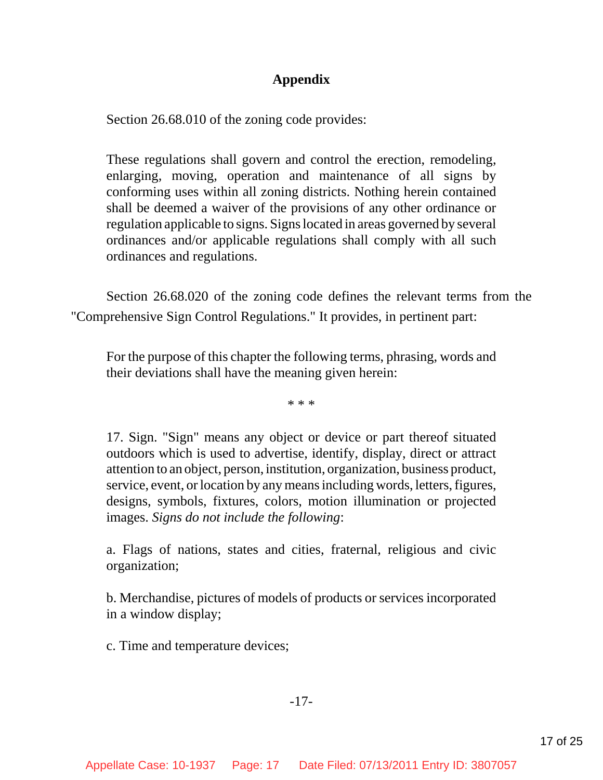# **Appendix**

Section 26.68.010 of the zoning code provides:

These regulations shall govern and control the erection, remodeling, enlarging, moving, operation and maintenance of all signs by conforming uses within all zoning districts. Nothing herein contained shall be deemed a waiver of the provisions of any other ordinance or regulation applicable to signs. Signs located in areas governed by several ordinances and/or applicable regulations shall comply with all such ordinances and regulations.

Section 26.68.020 of the zoning code defines the relevant terms from the "Comprehensive Sign Control Regulations." It provides, in pertinent part:

For the purpose of this chapter the following terms, phrasing, words and their deviations shall have the meaning given herein:

\* \* \*

17. Sign. "Sign" means any object or device or part thereof situated outdoors which is used to advertise, identify, display, direct or attract attention to an object, person, institution, organization, business product, service, event, or location by any means including words, letters, figures, designs, symbols, fixtures, colors, motion illumination or projected images. *Signs do not include the following*:

a. Flags of nations, states and cities, fraternal, religious and civic organization;

b. Merchandise, pictures of models of products or services incorporated in a window display;

c. Time and temperature devices;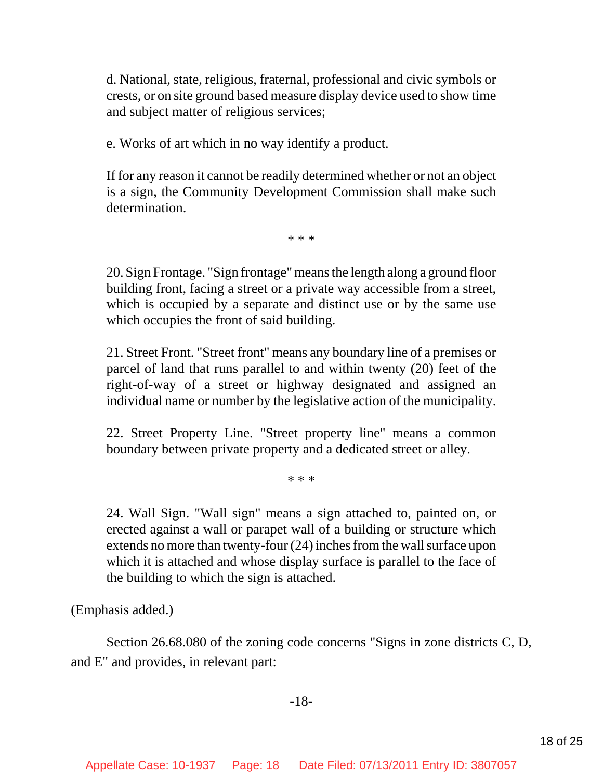d. National, state, religious, fraternal, professional and civic symbols or crests, or on site ground based measure display device used to show time and subject matter of religious services;

e. Works of art which in no way identify a product.

If for any reason it cannot be readily determined whether or not an object is a sign, the Community Development Commission shall make such determination.

\* \* \*

20. Sign Frontage. "Sign frontage" means the length along a ground floor building front, facing a street or a private way accessible from a street, which is occupied by a separate and distinct use or by the same use which occupies the front of said building.

21. Street Front. "Street front" means any boundary line of a premises or parcel of land that runs parallel to and within twenty (20) feet of the right-of-way of a street or highway designated and assigned an individual name or number by the legislative action of the municipality.

22. Street Property Line. "Street property line" means a common boundary between private property and a dedicated street or alley.

\* \* \*

24. Wall Sign. "Wall sign" means a sign attached to, painted on, or erected against a wall or parapet wall of a building or structure which extends no more than twenty-four (24) inches from the wall surface upon which it is attached and whose display surface is parallel to the face of the building to which the sign is attached.

(Emphasis added.)

Section 26.68.080 of the zoning code concerns "Signs in zone districts C, D, and E" and provides, in relevant part: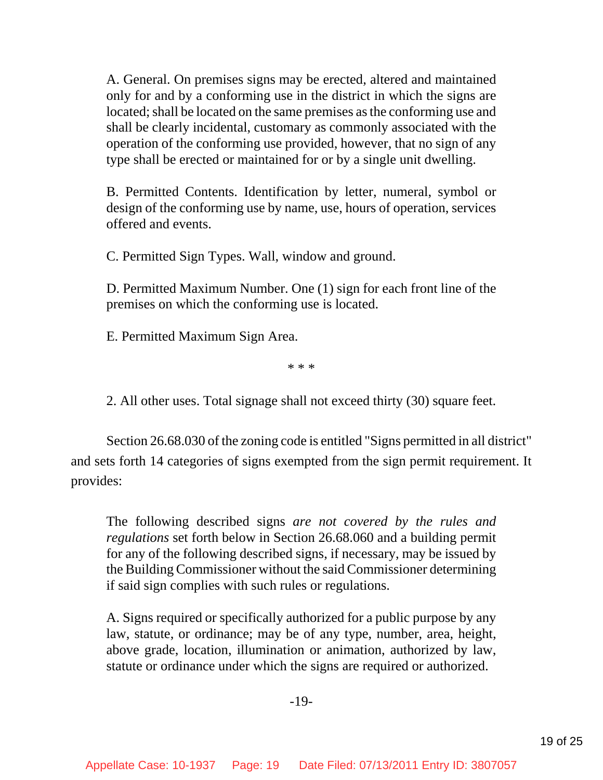A. General. On premises signs may be erected, altered and maintained only for and by a conforming use in the district in which the signs are located; shall be located on the same premises as the conforming use and shall be clearly incidental, customary as commonly associated with the operation of the conforming use provided, however, that no sign of any type shall be erected or maintained for or by a single unit dwelling.

B. Permitted Contents. Identification by letter, numeral, symbol or design of the conforming use by name, use, hours of operation, services offered and events.

C. Permitted Sign Types. Wall, window and ground.

D. Permitted Maximum Number. One (1) sign for each front line of the premises on which the conforming use is located.

E. Permitted Maximum Sign Area.

\* \* \*

2. All other uses. Total signage shall not exceed thirty (30) square feet.

Section 26.68.030 of the zoning code is entitled "Signs permitted in all district" and sets forth 14 categories of signs exempted from the sign permit requirement. It provides:

The following described signs *are not covered by the rules and regulations* set forth below in Section 26.68.060 and a building permit for any of the following described signs, if necessary, may be issued by the Building Commissioner without the said Commissioner determining if said sign complies with such rules or regulations.

A. Signs required or specifically authorized for a public purpose by any law, statute, or ordinance; may be of any type, number, area, height, above grade, location, illumination or animation, authorized by law, statute or ordinance under which the signs are required or authorized.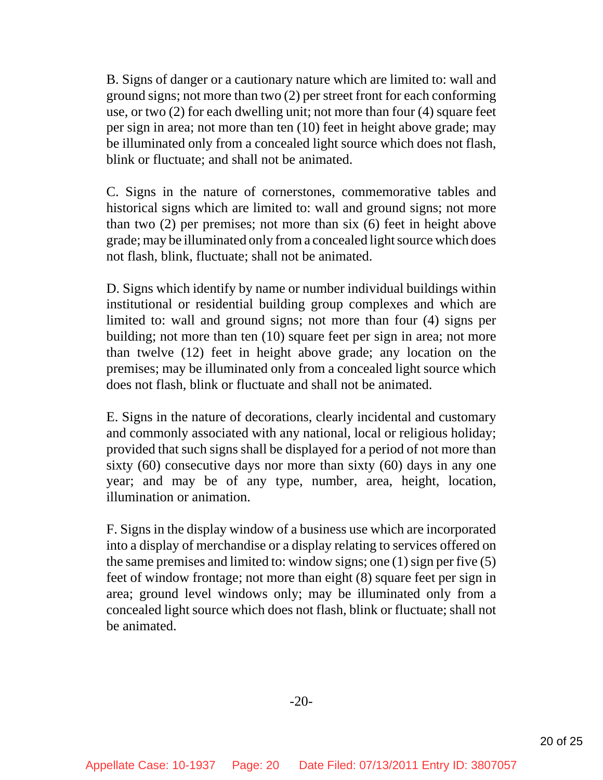B. Signs of danger or a cautionary nature which are limited to: wall and ground signs; not more than two (2) per street front for each conforming use, or two (2) for each dwelling unit; not more than four (4) square feet per sign in area; not more than ten (10) feet in height above grade; may be illuminated only from a concealed light source which does not flash, blink or fluctuate; and shall not be animated.

C. Signs in the nature of cornerstones, commemorative tables and historical signs which are limited to: wall and ground signs; not more than two (2) per premises; not more than six (6) feet in height above grade; may be illuminated only from a concealed light source which does not flash, blink, fluctuate; shall not be animated.

D. Signs which identify by name or number individual buildings within institutional or residential building group complexes and which are limited to: wall and ground signs; not more than four (4) signs per building; not more than ten (10) square feet per sign in area; not more than twelve (12) feet in height above grade; any location on the premises; may be illuminated only from a concealed light source which does not flash, blink or fluctuate and shall not be animated.

E. Signs in the nature of decorations, clearly incidental and customary and commonly associated with any national, local or religious holiday; provided that such signs shall be displayed for a period of not more than sixty (60) consecutive days nor more than sixty (60) days in any one year; and may be of any type, number, area, height, location, illumination or animation.

F. Signs in the display window of a business use which are incorporated into a display of merchandise or a display relating to services offered on the same premises and limited to: window signs; one (1) sign per five (5) feet of window frontage; not more than eight (8) square feet per sign in area; ground level windows only; may be illuminated only from a concealed light source which does not flash, blink or fluctuate; shall not be animated.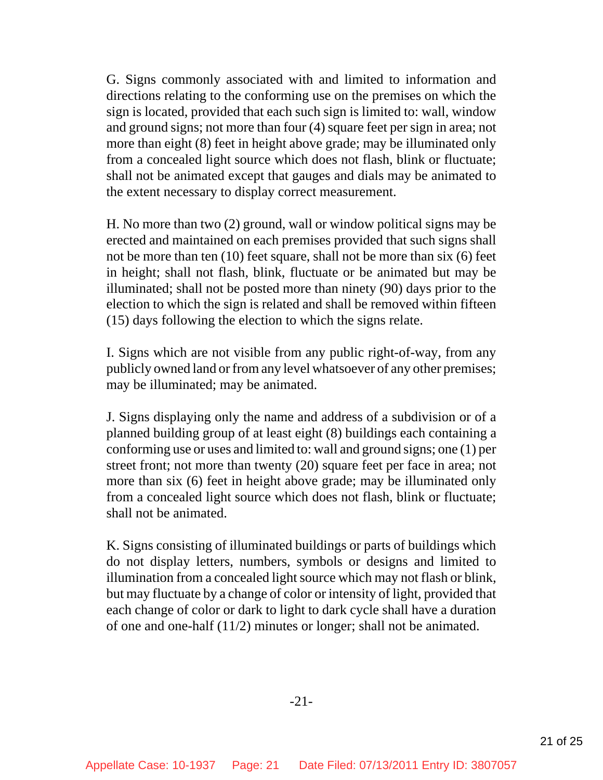G. Signs commonly associated with and limited to information and directions relating to the conforming use on the premises on which the sign is located, provided that each such sign is limited to: wall, window and ground signs; not more than four (4) square feet per sign in area; not more than eight (8) feet in height above grade; may be illuminated only from a concealed light source which does not flash, blink or fluctuate; shall not be animated except that gauges and dials may be animated to the extent necessary to display correct measurement.

H. No more than two (2) ground, wall or window political signs may be erected and maintained on each premises provided that such signs shall not be more than ten (10) feet square, shall not be more than six (6) feet in height; shall not flash, blink, fluctuate or be animated but may be illuminated; shall not be posted more than ninety (90) days prior to the election to which the sign is related and shall be removed within fifteen (15) days following the election to which the signs relate.

I. Signs which are not visible from any public right-of-way, from any publicly owned land or from any level whatsoever of any other premises; may be illuminated; may be animated.

J. Signs displaying only the name and address of a subdivision or of a planned building group of at least eight (8) buildings each containing a conforming use or uses and limited to: wall and ground signs; one (1) per street front; not more than twenty (20) square feet per face in area; not more than six (6) feet in height above grade; may be illuminated only from a concealed light source which does not flash, blink or fluctuate; shall not be animated.

K. Signs consisting of illuminated buildings or parts of buildings which do not display letters, numbers, symbols or designs and limited to illumination from a concealed light source which may not flash or blink, but may fluctuate by a change of color or intensity of light, provided that each change of color or dark to light to dark cycle shall have a duration of one and one-half (11/2) minutes or longer; shall not be animated.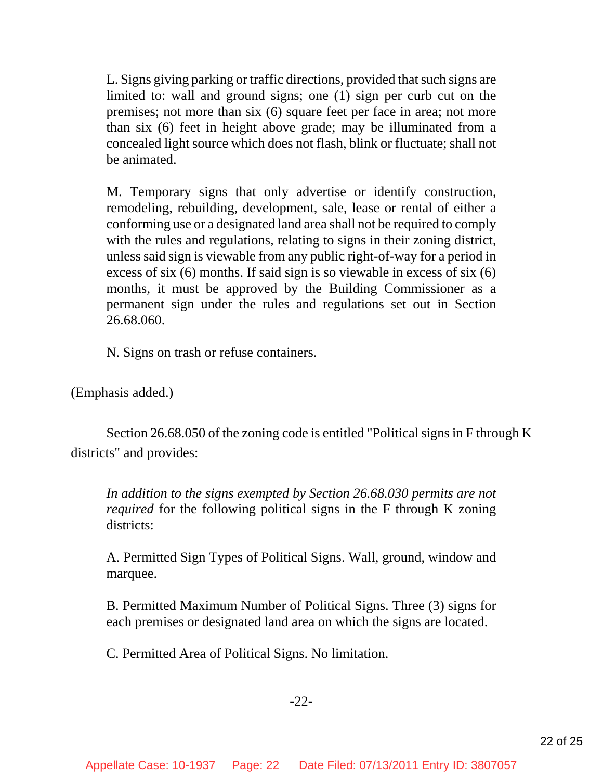L. Signs giving parking or traffic directions, provided that such signs are limited to: wall and ground signs; one (1) sign per curb cut on the premises; not more than six (6) square feet per face in area; not more than six (6) feet in height above grade; may be illuminated from a concealed light source which does not flash, blink or fluctuate; shall not be animated.

M. Temporary signs that only advertise or identify construction, remodeling, rebuilding, development, sale, lease or rental of either a conforming use or a designated land area shall not be required to comply with the rules and regulations, relating to signs in their zoning district, unless said sign is viewable from any public right-of-way for a period in excess of six (6) months. If said sign is so viewable in excess of six (6) months, it must be approved by the Building Commissioner as a permanent sign under the rules and regulations set out in Section 26.68.060.

N. Signs on trash or refuse containers.

(Emphasis added.)

Section 26.68.050 of the zoning code is entitled "Political signs in F through K districts" and provides:

*In addition to the signs exempted by Section 26.68.030 permits are not required* for the following political signs in the F through K zoning districts:

A. Permitted Sign Types of Political Signs. Wall, ground, window and marquee.

B. Permitted Maximum Number of Political Signs. Three (3) signs for each premises or designated land area on which the signs are located.

C. Permitted Area of Political Signs. No limitation.

## -22-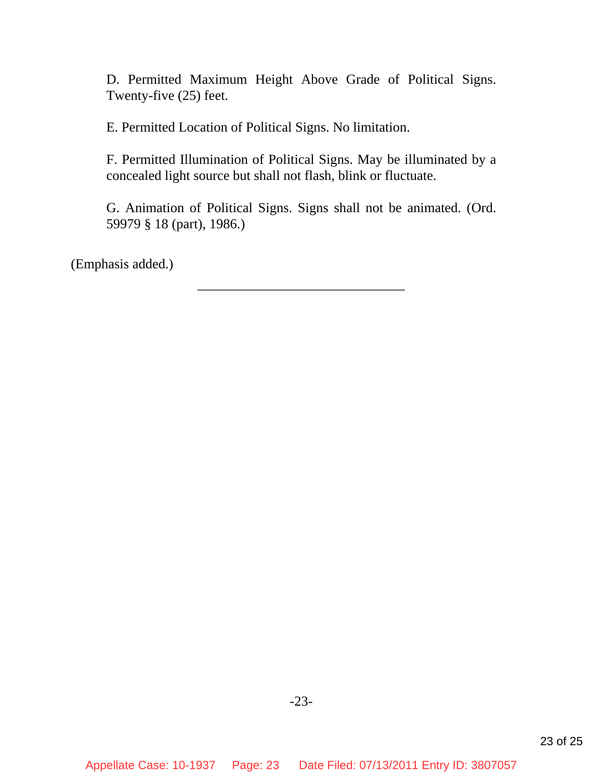D. Permitted Maximum Height Above Grade of Political Signs. Twenty-five (25) feet.

E. Permitted Location of Political Signs. No limitation.

F. Permitted Illumination of Political Signs. May be illuminated by a concealed light source but shall not flash, blink or fluctuate.

G. Animation of Political Signs. Signs shall not be animated. (Ord. 59979 § 18 (part), 1986.)

\_\_\_\_\_\_\_\_\_\_\_\_\_\_\_\_\_\_\_\_\_\_\_\_\_\_\_\_\_\_

(Emphasis added.)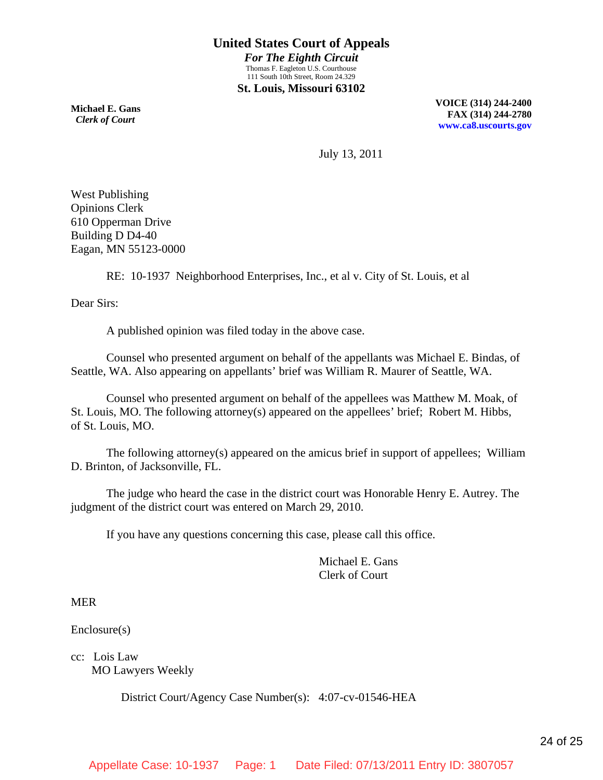**Michael E. Gans**  *Clerk of Court*

**VOICE (314) 244-2400 FAX (314) 244-2780 [www.ca8.uscourts.gov](http://www.ca8.uscourts.gov/)**

July 13, 2011

West Publishing Opinions Clerk 610 Opperman Drive Building D D4-40 Eagan, MN 55123-0000

RE: 10-1937 Neighborhood Enterprises, Inc., et al v. City of St. Louis, et al

Dear Sirs:

A published opinion was filed today in the above case.

 Counsel who presented argument on behalf of the appellants was Michael E. Bindas, of Seattle, WA. Also appearing on appellants' brief was William R. Maurer of Seattle, WA.

 Counsel who presented argument on behalf of the appellees was Matthew M. Moak, of St. Louis, MO. The following attorney(s) appeared on the appellees' brief; Robert M. Hibbs, of St. Louis, MO.

 The following attorney(s) appeared on the amicus brief in support of appellees; William D. Brinton, of Jacksonville, FL.

 The judge who heard the case in the district court was Honorable Henry E. Autrey. The judgment of the district court was entered on March 29, 2010.

If you have any questions concerning this case, please call this office.

 Michael E. Gans Clerk of Court

MER

Enclosure(s)

cc: Lois Law MO Lawyers Weekly

District Court/Agency Case Number(s): 4:07-cv-01546-HEA